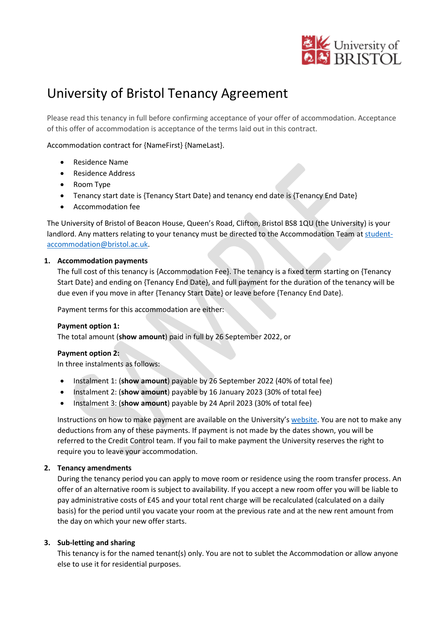

# University of Bristol Tenancy Agreement

Please read this tenancy in full before confirming acceptance of your offer of accommodation. Acceptance of this offer of accommodation is acceptance of the terms laid out in this contract.

Accommodation contract for {NameFirst} {NameLast}.

- Residence Name
- Residence Address
- Room Type
- Tenancy start date is {Tenancy Start Date} and tenancy end date is {Tenancy End Date}
- Accommodation fee

The University of Bristol of Beacon House, Queen's Road, Clifton, Bristol BS8 1QU (the University) is your landlord. Any matters relating to your tenancy must be directed to the Accommodation Team at [student](mailto:student-accommodation@bristol.ac.uk)[accommodation@bristol.ac.uk.](mailto:student-accommodation@bristol.ac.uk)

#### **1. Accommodation payments**

The full cost of this tenancy is {Accommodation Fee}. The tenancy is a fixed term starting on {Tenancy Start Date} and ending on {Tenancy End Date}, and full payment for the duration of the tenancy will be due even if you move in after {Tenancy Start Date} or leave before {Tenancy End Date}.

Payment terms for this accommodation are either:

#### **Payment option 1:**

The total amount (**show amount**) paid in full by 26 September 2022, or

#### **Payment option 2:**

In three instalments as follows:

- Instalment 1: (**show amount**) payable by 26 September 2022 (40% of total fee)
- Instalment 2: (**show amount**) payable by 16 January 2023 (30% of total fee)
- Instalment 3: (**show amount**) payable by 24 April 2023 (30% of total fee)

Instructions on how to make payment are available on the University's [website.](http://www.bristol.ac.uk/students/life-in-bristol/accommodation/university-accommodation/rent-contracts-regulations/pay-accommodation-fees/) You are not to make any deductions from any of these payments. If payment is not made by the dates shown, you will be referred to the Credit Control team. If you fail to make payment the University reserves the right to require you to leave your accommodation.

#### **2. Tenancy amendments**

During the tenancy period you can apply to move room or residence using the room transfer process. An offer of an alternative room is subject to availability. If you accept a new room offer you will be liable to pay administrative costs of £45 and your total rent charge will be recalculated (calculated on a daily basis) for the period until you vacate your room at the previous rate and at the new rent amount from the day on which your new offer starts.

#### **3. Sub-letting and sharing**

This tenancy is for the named tenant(s) only. You are not to sublet the Accommodation or allow anyone else to use it for residential purposes.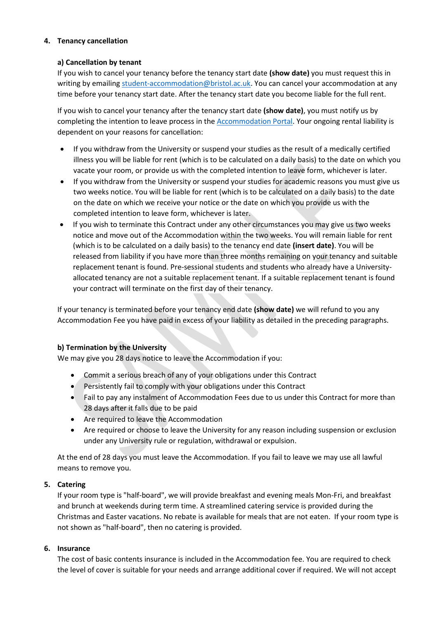## **4. Tenancy cancellation**

#### **a) Cancellation by tenant**

If you wish to cancel your tenancy before the tenancy start date **(show date)** you must request this in writing by emailing [student-accommodation@bristol.ac.uk.](mailto:student-accommodation@bristol.ac.uk) You can cancel your accommodation at any time before your tenancy start date. After the tenancy start date you become liable for the full rent.

If you wish to cancel your tenancy after the tenancy start date **(show date)**, you must notify us by completing the intention to leave process in the [Accommodation Portal.](https://bristol.starrezhousing.com/StarRezPortalX/) Your ongoing rental liability is dependent on your reasons for cancellation:

- If you withdraw from the University or suspend your studies as the result of a medically certified illness you will be liable for rent (which is to be calculated on a daily basis) to the date on which you vacate your room, or provide us with the completed intention to leave form, whichever is later.
- If you withdraw from the University or suspend your studies for academic reasons you must give us two weeks notice. You will be liable for rent (which is to be calculated on a daily basis) to the date on the date on which we receive your notice or the date on which you provide us with the completed intention to leave form, whichever is later.
- If you wish to terminate this Contract under any other circumstances you may give us two weeks notice and move out of the Accommodation within the two weeks. You will remain liable for rent (which is to be calculated on a daily basis) to the tenancy end date **(insert date)**. You will be released from liability if you have more than three months remaining on your tenancy and suitable replacement tenant is found. Pre-sessional students and students who already have a Universityallocated tenancy are not a suitable replacement tenant. If a suitable replacement tenant is found your contract will terminate on the first day of their tenancy.

If your tenancy is terminated before your tenancy end date **(show date)** we will refund to you any Accommodation Fee you have paid in excess of your liability as detailed in the preceding paragraphs.

## **b) Termination by the University**

We may give you 28 days notice to leave the Accommodation if you:

- Commit a serious breach of any of your obligations under this Contract
- Persistently fail to comply with your obligations under this Contract
- Fail to pay any instalment of Accommodation Fees due to us under this Contract for more than 28 days after it falls due to be paid
- Are required to leave the Accommodation
- Are required or choose to leave the University for any reason including suspension or exclusion under any University rule or regulation, withdrawal or expulsion.

At the end of 28 days you must leave the Accommodation. If you fail to leave we may use all lawful means to remove you.

## **5. Catering**

If your room type is "half-board", we will provide breakfast and evening meals Mon-Fri, and breakfast and brunch at weekends during term time. A streamlined catering service is provided during the Christmas and Easter vacations. No rebate is available for meals that are not eaten. If your room type is not shown as "half-board", then no catering is provided.

## **6. Insurance**

The cost of basic contents insurance is included in the Accommodation fee. You are required to check the level of cover is suitable for your needs and arrange additional cover if required. We will not accept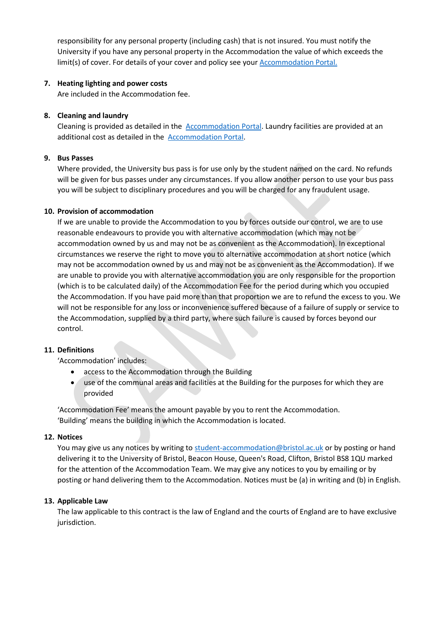responsibility for any personal property (including cash) that is not insured. You must notify the University if you have any personal property in the Accommodation the value of which exceeds the limit(s) of cover. For details of your cover and policy see your [Accommodation Portal.](https://bristol.starrezhousing.com/StarRezPortalX/)

## **7. Heating lighting and power costs**

Are included in the Accommodation fee.

#### **8. Cleaning and laundry**

Cleaning is provided as detailed in the [Accommodation Portal.](https://bristol.starrezhousing.com/StarRezPortalX/) Laundry facilities are provided at an additional cost as detailed in the [Accommodation Portal.](https://bristol.starrezhousing.com/StarRezPortalX/)

#### **9. Bus Passes**

Where provided, the University bus pass is for use only by the student named on the card. No refunds will be given for bus passes under any circumstances. If you allow another person to use your bus pass you will be subject to disciplinary procedures and you will be charged for any fraudulent usage.

#### **10. Provision of accommodation**

If we are unable to provide the Accommodation to you by forces outside our control, we are to use reasonable endeavours to provide you with alternative accommodation (which may not be accommodation owned by us and may not be as convenient as the Accommodation). In exceptional circumstances we reserve the right to move you to alternative accommodation at short notice (which may not be accommodation owned by us and may not be as convenient as the Accommodation). If we are unable to provide you with alternative accommodation you are only responsible for the proportion (which is to be calculated daily) of the Accommodation Fee for the period during which you occupied the Accommodation. If you have paid more than that proportion we are to refund the excess to you. We will not be responsible for any loss or inconvenience suffered because of a failure of supply or service to the Accommodation, supplied by a third party, where such failure is caused by forces beyond our control.

#### **11. Definitions**

'Accommodation' includes:

- access to the Accommodation through the Building
- use of the communal areas and facilities at the Building for the purposes for which they are provided

'Accommodation Fee' means the amount payable by you to rent the Accommodation. 'Building' means the building in which the Accommodation is located.

## **12. Notices**

You may give us any notices by writing to [student-accommodation@bristol.ac.uk](mailto:student-accommodation@bristol.ac.uk) or by posting or hand delivering it to the University of Bristol, Beacon House, Queen's Road, Clifton, Bristol BS8 1QU marked for the attention of the Accommodation Team. We may give any notices to you by emailing or by posting or hand delivering them to the Accommodation. Notices must be (a) in writing and (b) in English.

#### **13. Applicable Law**

The law applicable to this contract is the law of England and the courts of England are to have exclusive jurisdiction.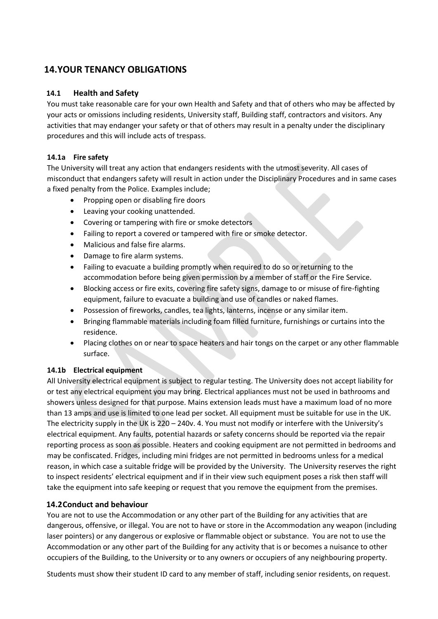## **14.YOUR TENANCY OBLIGATIONS**

## **14.1 Health and Safety**

You must take reasonable care for your own Health and Safety and that of others who may be affected by your acts or omissions including residents, University staff, Building staff, contractors and visitors. Any activities that may endanger your safety or that of others may result in a penalty under the disciplinary procedures and this will include acts of trespass.

## **14.1a Fire safety**

The University will treat any action that endangers residents with the utmost severity. All cases of misconduct that endangers safety will result in action under the Disciplinary Procedures and in same cases a fixed penalty from the Police. Examples include;

- Propping open or disabling fire doors
- Leaving your cooking unattended.
- Covering or tampering with fire or smoke detectors
- Failing to report a covered or tampered with fire or smoke detector.
- Malicious and false fire alarms.
- Damage to fire alarm systems.
- Failing to evacuate a building promptly when required to do so or returning to the accommodation before being given permission by a member of staff or the Fire Service.
- Blocking access or fire exits, covering fire safety signs, damage to or misuse of fire-fighting equipment, failure to evacuate a building and use of candles or naked flames.
- Possession of fireworks, candles, tea lights, lanterns, incense or any similar item.
- Bringing flammable materials including foam filled furniture, furnishings or curtains into the residence.
- Placing clothes on or near to space heaters and hair tongs on the carpet or any other flammable surface.

## **14.1b Electrical equipment**

All University electrical equipment is subject to regular testing. The University does not accept liability for or test any electrical equipment you may bring. Electrical appliances must not be used in bathrooms and showers unless designed for that purpose. Mains extension leads must have a maximum load of no more than 13 amps and use is limited to one lead per socket. All equipment must be suitable for use in the UK. The electricity supply in the UK is 220 – 240v. 4. You must not modify or interfere with the University's electrical equipment. Any faults, potential hazards or safety concerns should be reported via the repair reporting process as soon as possible. Heaters and cooking equipment are not permitted in bedrooms and may be confiscated. Fridges, including mini fridges are not permitted in bedrooms unless for a medical reason, in which case a suitable fridge will be provided by the University. The University reserves the right to inspect residents' electrical equipment and if in their view such equipment poses a risk then staff will take the equipment into safe keeping or request that you remove the equipment from the premises.

## **14.2Conduct and behaviour**

You are not to use the Accommodation or any other part of the Building for any activities that are dangerous, offensive, or illegal. You are not to have or store in the Accommodation any weapon (including laser pointers) or any dangerous or explosive or flammable object or substance. You are not to use the Accommodation or any other part of the Building for any activity that is or becomes a nuisance to other occupiers of the Building, to the University or to any owners or occupiers of any neighbouring property.

Students must show their student ID card to any member of staff, including senior residents, on request.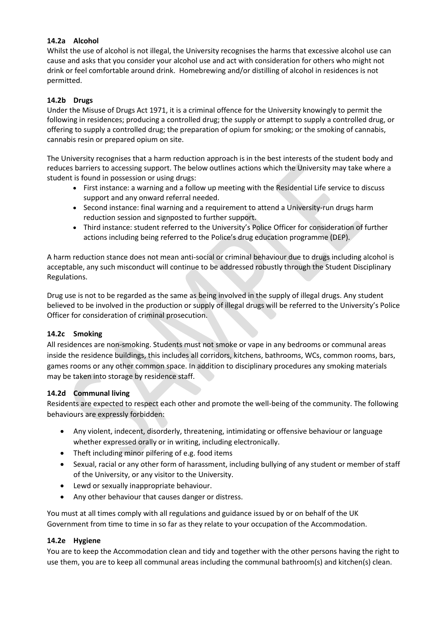## **14.2a Alcohol**

Whilst the use of alcohol is not illegal, the University recognises the harms that excessive alcohol use can cause and asks that you consider your alcohol use and act with consideration for others who might not drink or feel comfortable around drink.  Homebrewing and/or distilling of alcohol in residences is not permitted.

## **14.2b Drugs**

Under the Misuse of Drugs Act 1971, it is a criminal offence for the University knowingly to permit the following in residences; producing a controlled drug; the supply or attempt to supply a controlled drug, or offering to supply a controlled drug; the preparation of opium for smoking; or the smoking of cannabis, cannabis resin or prepared opium on site.

The University recognises that a harm reduction approach is in the best interests of the student body and reduces barriers to accessing support. The below outlines actions which the University may take where a student is found in possession or using drugs:

- First instance: a warning and a follow up meeting with the Residential Life service to discuss support and any onward referral needed.
- Second instance: final warning and a requirement to attend a University-run drugs harm reduction session and signposted to further support.
- Third instance: student referred to the University's Police Officer for consideration of further actions including being referred to the Police's drug education programme (DEP).

A harm reduction stance does not mean anti-social or criminal behaviour due to drugs including alcohol is acceptable, any such misconduct will continue to be addressed robustly through the Student Disciplinary Regulations.

Drug use is not to be regarded as the same as being involved in the supply of illegal drugs. Any student believed to be involved in the production or supply of illegal drugs will be referred to the University's Police Officer for consideration of criminal prosecution.

## **14.2c Smoking**

All residences are non-smoking. Students must not smoke or vape in any bedrooms or communal areas inside the residence buildings, this includes all corridors, kitchens, bathrooms, WCs, common rooms, bars, games rooms or any other common space. In addition to disciplinary procedures any smoking materials may be taken into storage by residence staff.

## **14.2d Communal living**

Residents are expected to respect each other and promote the well-being of the community. The following behaviours are expressly forbidden:

- Any violent, indecent, disorderly, threatening, intimidating or offensive behaviour or language whether expressed orally or in writing, including electronically.
- Theft including minor pilfering of e.g. food items
- Sexual, racial or any other form of harassment, including bullying of any student or member of staff of the University, or any visitor to the University.
- Lewd or sexually inappropriate behaviour.
- Any other behaviour that causes danger or distress.

You must at all times comply with all regulations and guidance issued by or on behalf of the UK Government from time to time in so far as they relate to your occupation of the Accommodation.

## **14.2e Hygiene**

You are to keep the Accommodation clean and tidy and together with the other persons having the right to use them, you are to keep all communal areas including the communal bathroom(s) and kitchen(s) clean.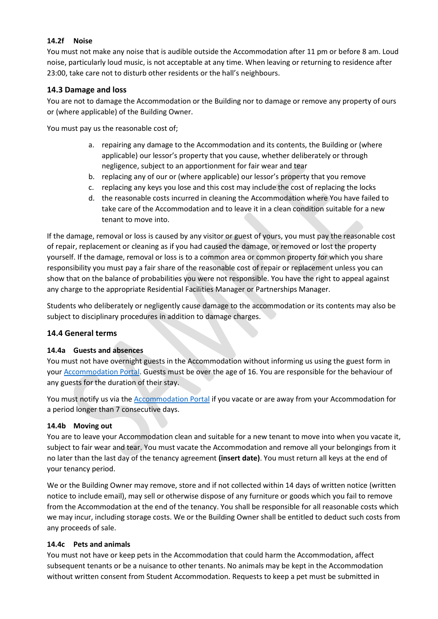## **14.2f Noise**

You must not make any noise that is audible outside the Accommodation after 11 pm or before 8 am. Loud noise, particularly loud music, is not acceptable at any time. When leaving or returning to residence after 23:00, take care not to disturb other residents or the hall's neighbours.

## **14.3 Damage and loss**

You are not to damage the Accommodation or the Building nor to damage or remove any property of ours or (where applicable) of the Building Owner.

You must pay us the reasonable cost of;

- a. repairing any damage to the Accommodation and its contents, the Building or (where applicable) our lessor's property that you cause, whether deliberately or through negligence, subject to an apportionment for fair wear and tear
- b. replacing any of our or (where applicable) our lessor's property that you remove
- c. replacing any keys you lose and this cost may include the cost of replacing the locks
- d. the reasonable costs incurred in cleaning the Accommodation where You have failed to take care of the Accommodation and to leave it in a clean condition suitable for a new tenant to move into.

If the damage, removal or loss is caused by any visitor or guest of yours, you must pay the reasonable cost of repair, replacement or cleaning as if you had caused the damage, or removed or lost the property yourself. If the damage, removal or loss is to a common area or common property for which you share responsibility you must pay a fair share of the reasonable cost of repair or replacement unless you can show that on the balance of probabilities you were not responsible. You have the right to appeal against any charge to the appropriate Residential Facilities Manager or Partnerships Manager.

Students who deliberately or negligently cause damage to the accommodation or its contents may also be subject to disciplinary procedures in addition to damage charges.

## **14.4 General terms**

#### **14.4a Guests and absences**

You must not have overnight guests in the Accommodation without informing us using the guest form in you[r Accommodation Portal.](https://bristol.starrezhousing.com/StarRezPortalX/) Guests must be over the age of 16. You are responsible for the behaviour of any guests for the duration of their stay.

You must notify us via the [Accommodation Portal](https://bristol.starrezhousing.com/StarRezPortalX/) if you vacate or are away from your Accommodation for a period longer than 7 consecutive days.

#### **14.4b Moving out**

You are to leave your Accommodation clean and suitable for a new tenant to move into when you vacate it, subject to fair wear and tear. You must vacate the Accommodation and remove all your belongings from it no later than the last day of the tenancy agreement **(insert date)**. You must return all keys at the end of your tenancy period.

We or the Building Owner may remove, store and if not collected within 14 days of written notice (written notice to include email), may sell or otherwise dispose of any furniture or goods which you fail to remove from the Accommodation at the end of the tenancy. You shall be responsible for all reasonable costs which we may incur, including storage costs. We or the Building Owner shall be entitled to deduct such costs from any proceeds of sale.

#### **14.4c Pets and animals**

You must not have or keep pets in the Accommodation that could harm the Accommodation, affect subsequent tenants or be a nuisance to other tenants. No animals may be kept in the Accommodation without written consent from Student Accommodation. Requests to keep a pet must be submitted in